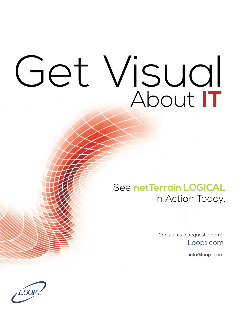## Get Visual About **IT**

### See **netTerrain LOGICAL** in Action Today.

Contact us to request a demo

Loop1.com

info@loop1.com

 $\iota$ LOOPi ®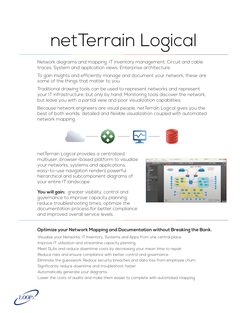## netTerrain Logical

Network diagrams and mapping. IT inventory management. Circuit and cable traces. System and application views. Enterprise architecture.

To gain insights and efficiently manage and document your network, these are some of the things that matter to you.

Traditional drawing tools can be used to represent networks and represent your IT infrastructure, but only by hand. Monitoring tools discover the network, but leave you with a partial view and poor visualization capabilities.

Because network engineers are visual people, netTerrain Logical gives you the best of both worlds: detailed and flexible visualization coupled with automated network mapping.



netTerrain Logical provides a centralized, multiuser, browser-based platform to visualize your networks, systems and applications. easy-to-use navigation renders powerful hierarchical and subcomponent diagrams of your entire IT landscape

You will gain: greater visibility, control and governance to improve capacity planning, reduce troubleshooting times, optimize the documentation process for better compliance and improved overall service levels.



#### **Optimize your Network Mapping and Documentation without Breaking the Bank.**

Visualize your Networks, IT inventory, Systems and Apps from one central place. Improve IT utilization and streamline capacity planning. Meet SLAs and reduce downtime costs by decreasing your mean time to repair. Reduce risks and ensure compliance with better control and governance. Eliminate the guesswork. Reduce security breaches and data loss from employee churn. Significantly reduce downtime and troubleshoot faster. Automatically generate your diagrams. Lower the costs of audits and make them easier to complete with automated mapping.

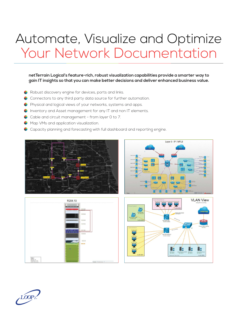## Automate, Visualize and Optimize Your Network Documentation

**netTerrain Logical's feature-rich, robust visualization capabilities provide a smarter way to gain IT insights so that you can make better decisions and deliver enhanced business value.**

- **C** Robust discovery engine for devices, ports and links.
- Connectors to any third party data source for further automation.
- **P** Physical and logical views of your networks, systems and apps.
- Inventory and Asset management for any IT and non IT elements.
- Cable and circuit management from layer 0 to 7.
- **Map VMs and application visualization.**
- **Capacity planning and forecasting with full dashboard and reporting engine.**